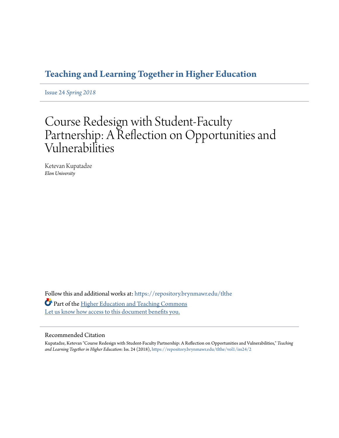## **[Teaching and Learning Together in Higher Education](https://repository.brynmawr.edu/tlthe?utm_source=repository.brynmawr.edu%2Ftlthe%2Fvol1%2Fiss24%2F2&utm_medium=PDF&utm_campaign=PDFCoverPages)**

Issue 24 *[Spring 2018](https://repository.brynmawr.edu/tlthe/vol1/iss24?utm_source=repository.brynmawr.edu%2Ftlthe%2Fvol1%2Fiss24%2F2&utm_medium=PDF&utm_campaign=PDFCoverPages)*

# Course Redesign with Student-Faculty Partnership: A Reflection on Opportunities and Vulnerabilities

Ketevan Kupatadze *Elon University*

Follow this and additional works at: [https://repository.brynmawr.edu/tlthe](https://repository.brynmawr.edu/tlthe?utm_source=repository.brynmawr.edu%2Ftlthe%2Fvol1%2Fiss24%2F2&utm_medium=PDF&utm_campaign=PDFCoverPages) Part of the [Higher Education and Teaching Commons](http://network.bepress.com/hgg/discipline/806?utm_source=repository.brynmawr.edu%2Ftlthe%2Fvol1%2Fiss24%2F2&utm_medium=PDF&utm_campaign=PDFCoverPages) [Let us know how access to this document benefits you.](http://repository.brynmawr.edu/open-access-feedback.html)

#### Recommended Citation

Kupatadze, Ketevan "Course Redesign with Student-Faculty Partnership: A Reflection on Opportunities and Vulnerabilities," *Teaching and Learning Together in Higher Education*: Iss. 24 (2018), [https://repository.brynmawr.edu/tlthe/vol1/iss24/2](https://repository.brynmawr.edu/tlthe/vol1/iss24/2?utm_source=repository.brynmawr.edu%2Ftlthe%2Fvol1%2Fiss24%2F2&utm_medium=PDF&utm_campaign=PDFCoverPages)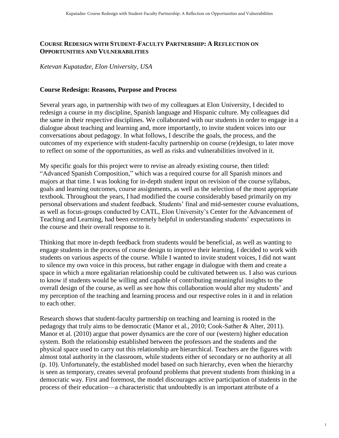#### **COURSE REDESIGN WITH STUDENT-FACULTY PARTNERSHIP: A REFLECTION ON OPPORTUNITIES AND VULNERABILITIES**

*Ketevan Kupatadze, Elon University, USA*

#### **Course Redesign: Reasons, Purpose and Process**

Several years ago, in partnership with two of my colleagues at Elon University, I decided to redesign a course in my discipline, Spanish language and Hispanic culture. My colleagues did the same in their respective disciplines. We collaborated with our students in order to engage in a dialogue about teaching and learning and, more importantly, to invite student voices into our conversations about pedagogy. In what follows, I describe the goals, the process, and the outcomes of my experience with student-faculty partnership on course (re)design, to later move to reflect on some of the opportunities, as well as risks and vulnerabilities involved in it.

My specific goals for this project were to revise an already existing course, then titled: "Advanced Spanish Composition," which was a required course for all Spanish minors and majors at that time. I was looking for in-depth student input on revision of the course syllabus, goals and learning outcomes, course assignments, as well as the selection of the most appropriate textbook. Throughout the years, I had modified the course considerably based primarily on my personal observations and student feedback. Students' final and mid-semester course evaluations, as well as focus-groups conducted by CATL, Elon University's Center for the Advancement of Teaching and Learning, had been extremely helpful in understanding students' expectations in the course and their overall response to it.

Thinking that more in-depth feedback from students would be beneficial, as well as wanting to engage students in the process of course design to improve their learning, I decided to work with students on various aspects of the course. While I wanted to invite student voices, I did not want to silence my own voice in this process, but rather engage in dialogue with them and create a space in which a more egalitarian relationship could be cultivated between us. I also was curious to know if students would be willing and capable of contributing meaningful insights to the overall design of the course, as well as see how this collaboration would alter my students' and my perception of the teaching and learning process and our respective roles in it and in relation to each other.

Research shows that student-faculty partnership on teaching and learning is rooted in the pedagogy that truly aims to be democratic (Manor et al., 2010; Cook-Sather & Alter, 2011). Manor et al. (2010) argue that power dynamics are the core of our (western) higher education system. Both the relationship established between the professors and the students and the physical space used to carry out this relationship are hierarchical. Teachers are the figures with almost total authority in the classroom, while students either of secondary or no authority at all (p. 10). Unfortunately, the established model based on such hierarchy, even when the hierarchy is seen as temporary, creates several profound problems that prevent students from thinking in a democratic way. First and foremost, the model discourages active participation of students in the process of their education—a characteristic that undoubtedly is an important attribute of a

1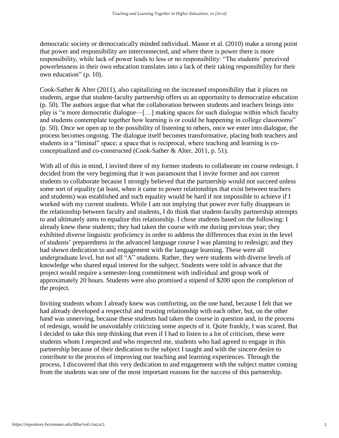democratic society or democratically minded individual. Manor et al. (2010) make a strong point that power and responsibility are interconnected, and where there is power there is more responsibility, while lack of power leads to less or no responsibility: "The students' perceived powerlessness in their own education translates into a lack of their taking responsibility for their own education" (p. 10).

Cook-Sather & Alter (2011), also capitalizing on the increased responsibility that it places on students, argue that student-faculty partnership offers us an opportunity to democratize education (p. 50). The authors argue that what the collaboration between students and teachers brings into play is "a more democratic dialogue—[…] making spaces for such dialogue within which faculty and students contemplate together how learning is or could be happening in college classrooms" (p. 50). Once we open up to the possibility of listening to others, once we enter into dialogue, the process becomes ongoing. The dialogue itself becomes transformative, placing both teachers and students in a "liminal" space; a space that is reciprocal, where teaching and learning is coconceptualized and co-constructed (Cook-Sather & Alter, 2011, p. 51).

With all of this in mind, I invited three of my former students to collaborate on course redesign. I decided from the very beginning that it was paramount that I invite former and not current students to collaborate because I strongly believed that the partnership would not succeed unless some sort of equality (at least, when it came to power relationships that exist between teachers and students) was established and such equality would be hard if not impossible to achieve if I worked with my current students. While I am not implying that power ever fully disappears in the relationship between faculty and students, I do think that student-faculty partnership attempts to and ultimately aims to equalize this relationship. I chose students based on the following: I already knew these students; they had taken the course with me during previous year; they exhibited diverse linguistic proficiency in order to address the differences that exist in the level of students' preparedness in the advanced language course I was planning to redesign; and they had shown dedication to and engagement with the language learning. These were all undergraduate level, but not all "A" students. Rather, they were students with diverse levels of knowledge who shared equal interest for the subject. Students were told in advance that the project would require a semester-long commitment with individual and group work of approximately 20 hours. Students were also promised a stipend of \$200 upon the completion of the project.

Inviting students whom I already knew was comforting, on the one hand, because I felt that we had already developed a respectful and trusting relationship with each other, but, on the other hand was unnerving, because these students had taken the course in question and, in the process of redesign, would be unavoidably criticizing some aspects of it. Quite frankly, I was scared. But I decided to take this step thinking that even if I had to listen to a lot of criticism, these were students whom I respected and who respected me, students who had agreed to engage in this partnership because of their dedication to the subject I taught and with the sincere desire to contribute to the process of improving our teaching and learning experiences. Through the process, I discovered that this very dedication to and engagement with the subject matter coming from the students was one of the most important reasons for the success of this partnership.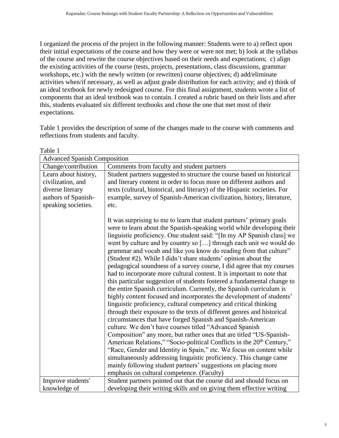I organized the process of the project in the following manner: Students were to a) reflect upon their initial expectations of the course and how they were or were not met; b) look at the syllabus of the course and rewrite the course objectives based on their needs and expectations; c) align the existing activities of the course (tests, projects, presentations, class discussions, grammar workshops, etc.) with the newly written (or rewritten) course objectives; d) add/eliminate activities when/if necessary, as well as adjust grade distribution for each activity; and e) think of an ideal textbook for newly redesigned course. For this final assignment, students wrote a list of components that an ideal textbook was to contain. I created a rubric based on their lists and after this, students evaluated six different textbooks and chose the one that met most of their expectations.

Table 1 provides the description of some of the changes made to the course with comments and reflections from students and faculty.

| Table 1                                                                                                     |                                                                                                                                                                                                                                                                                                                                                                                                                                                                                                                                                                                                                                                                                                                                                                                                                                                                                                                                                                                                                                                                                                                                                                                                                                                                                                                                                                                                                                                                                                                       |
|-------------------------------------------------------------------------------------------------------------|-----------------------------------------------------------------------------------------------------------------------------------------------------------------------------------------------------------------------------------------------------------------------------------------------------------------------------------------------------------------------------------------------------------------------------------------------------------------------------------------------------------------------------------------------------------------------------------------------------------------------------------------------------------------------------------------------------------------------------------------------------------------------------------------------------------------------------------------------------------------------------------------------------------------------------------------------------------------------------------------------------------------------------------------------------------------------------------------------------------------------------------------------------------------------------------------------------------------------------------------------------------------------------------------------------------------------------------------------------------------------------------------------------------------------------------------------------------------------------------------------------------------------|
| <b>Advanced Spanish Composition</b>                                                                         |                                                                                                                                                                                                                                                                                                                                                                                                                                                                                                                                                                                                                                                                                                                                                                                                                                                                                                                                                                                                                                                                                                                                                                                                                                                                                                                                                                                                                                                                                                                       |
| Change/contribution                                                                                         | Comments from faculty and student partners                                                                                                                                                                                                                                                                                                                                                                                                                                                                                                                                                                                                                                                                                                                                                                                                                                                                                                                                                                                                                                                                                                                                                                                                                                                                                                                                                                                                                                                                            |
| Learn about history,<br>civilization, and<br>diverse literary<br>authors of Spanish-<br>speaking societies. | Student partners suggested to structure the course based on historical<br>and literary content in order to focus more on different authors and<br>texts (cultural, historical, and literary) of the Hispanic societies. For<br>example, survey of Spanish-American civilization, history, literature,<br>etc.                                                                                                                                                                                                                                                                                                                                                                                                                                                                                                                                                                                                                                                                                                                                                                                                                                                                                                                                                                                                                                                                                                                                                                                                         |
|                                                                                                             | It was surprising to me to learn that student partners' primary goals<br>were to learn about the Spanish-speaking world while developing their<br>linguistic proficiency. One student said: "[In my AP Spanish class] we<br>went by culture and by country so [] through each unit we would do<br>grammar and vocab and like you know do reading from that culture"<br>(Student #2). While I didn't share students' opinion about the<br>pedagogical soundness of a survey course, I did agree that my courses<br>had to incorporate more cultural content. It is important to note that<br>this particular suggestion of students fostered a fundamental change to<br>the entire Spanish curriculum. Currently, the Spanish curriculum is<br>highly content focused and incorporates the development of students'<br>linguistic proficiency, cultural competency and critical thinking<br>through their exposure to the texts of different genres and historical<br>circumstances that have forged Spanish and Spanish-American<br>culture. We don't have courses titled "Advanced Spanish<br>Composition" any more, but rather ones that are titled "US-Spanish-<br>American Relations," "Socio-political Conflicts in the 20 <sup>th</sup> Century,"<br>"Race, Gender and Identity in Spain," etc. We focus on content while<br>simultaneously addressing linguistic proficiency. This change came<br>mainly following student partners' suggestions on placing more<br>emphasis on cultural competence. (Faculty) |
| Improve students'                                                                                           | Student partners pointed out that the course did and should focus on                                                                                                                                                                                                                                                                                                                                                                                                                                                                                                                                                                                                                                                                                                                                                                                                                                                                                                                                                                                                                                                                                                                                                                                                                                                                                                                                                                                                                                                  |
| knowledge of                                                                                                | developing their writing skills and on giving them effective writing                                                                                                                                                                                                                                                                                                                                                                                                                                                                                                                                                                                                                                                                                                                                                                                                                                                                                                                                                                                                                                                                                                                                                                                                                                                                                                                                                                                                                                                  |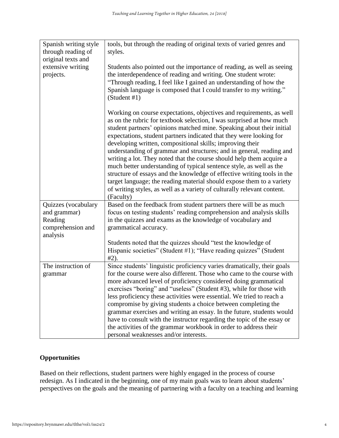| Spanish writing style<br>through reading of<br>original texts and<br>extensive writing<br>projects. | tools, but through the reading of original texts of varied genres and<br>styles.<br>Students also pointed out the importance of reading, as well as seeing<br>the interdependence of reading and writing. One student wrote:<br>"Through reading, I feel like I gained an understanding of how the<br>Spanish language is composed that I could transfer to my writing."<br>(Student #1)                                                                                                                                                                                                                                                                                                                                                                                                                                     |
|-----------------------------------------------------------------------------------------------------|------------------------------------------------------------------------------------------------------------------------------------------------------------------------------------------------------------------------------------------------------------------------------------------------------------------------------------------------------------------------------------------------------------------------------------------------------------------------------------------------------------------------------------------------------------------------------------------------------------------------------------------------------------------------------------------------------------------------------------------------------------------------------------------------------------------------------|
|                                                                                                     | Working on course expectations, objectives and requirements, as well<br>as on the rubric for textbook selection, I was surprised at how much<br>student partners' opinions matched mine. Speaking about their initial<br>expectations, student partners indicated that they were looking for<br>developing written, compositional skills; improving their<br>understanding of grammar and structures; and in general, reading and<br>writing a lot. They noted that the course should help them acquire a<br>much better understanding of typical sentence style, as well as the<br>structure of essays and the knowledge of effective writing tools in the<br>target language; the reading material should expose them to a variety<br>of writing styles, as well as a variety of culturally relevant content.<br>(Faculty) |
| Quizzes (vocabulary                                                                                 | Based on the feedback from student partners there will be as much                                                                                                                                                                                                                                                                                                                                                                                                                                                                                                                                                                                                                                                                                                                                                            |
| and grammar)                                                                                        | focus on testing students' reading comprehension and analysis skills                                                                                                                                                                                                                                                                                                                                                                                                                                                                                                                                                                                                                                                                                                                                                         |
| Reading                                                                                             | in the quizzes and exams as the knowledge of vocabulary and                                                                                                                                                                                                                                                                                                                                                                                                                                                                                                                                                                                                                                                                                                                                                                  |
| comprehension and                                                                                   | grammatical accuracy.                                                                                                                                                                                                                                                                                                                                                                                                                                                                                                                                                                                                                                                                                                                                                                                                        |
| analysis                                                                                            | Students noted that the quizzes should "test the knowledge of<br>Hispanic societies" (Student #1); "Have reading quizzes" (Student<br>$#2$ ).                                                                                                                                                                                                                                                                                                                                                                                                                                                                                                                                                                                                                                                                                |
| The instruction of<br>grammar                                                                       | Since students' linguistic proficiency varies dramatically, their goals<br>for the course were also different. Those who came to the course with<br>more advanced level of proficiency considered doing grammatical<br>exercises "boring" and "useless" (Student #3), while for those with<br>less proficiency these activities were essential. We tried to reach a<br>compromise by giving students a choice between completing the<br>grammar exercises and writing an essay. In the future, students would<br>have to consult with the instructor regarding the topic of the essay or<br>the activities of the grammar workbook in order to address their<br>personal weaknesses and/or interests.                                                                                                                        |

### **Opportunities**

Based on their reflections, student partners were highly engaged in the process of course redesign. As I indicated in the beginning, one of my main goals was to learn about students' perspectives on the goals and the meaning of partnering with a faculty on a teaching and learning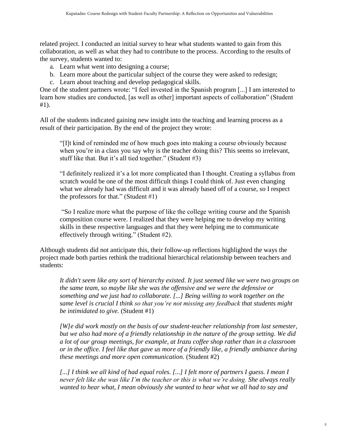related project. I conducted an initial survey to hear what students wanted to gain from this collaboration, as well as what they had to contribute to the process. According to the results of the survey, students wanted to:

- a. Learn what went into designing a course;
- b. Learn more about the particular subject of the course they were asked to redesign;
- c. Learn about teaching and develop pedagogical skills.

One of the student partners wrote: "I feel invested in the Spanish program [...] I am interested to learn how studies are conducted, [as well as other] important aspects of collaboration" (Student #1).

All of the students indicated gaining new insight into the teaching and learning process as a result of their participation. By the end of the project they wrote:

"[I]t kind of reminded me of how much goes into making a course obviously because when you're in a class you say why is the teacher doing this? This seems so irrelevant, stuff like that. But it's all tied together." (Student #3)

"I definitely realized it's a lot more complicated than I thought. Creating a syllabus from scratch would be one of the most difficult things I could think of. Just even changing what we already had was difficult and it was already based off of a course, so I respect the professors for that." (Student #1)

"So I realize more what the purpose of like the college writing course and the Spanish composition course were. I realized that they were helping me to develop my writing skills in these respective languages and that they were helping me to communicate effectively through writing." (Student #2).

Although students did not anticipate this, their follow-up reflections highlighted the ways the project made both parties rethink the traditional hierarchical relationship between teachers and students:

*It didn't seem like any sort of hierarchy existed. It just seemed like we were two groups on the same team, so maybe like she was the offensive and we were the defensive or something and we just had to collaborate. [...] Being willing to work together on the same level is crucial I think so that you're not missing any feedback that students might be intimidated to give.* (Student #1)

*[W]e did work mostly on the basis of our student-teacher relationship from last semester, but we also had more of a friendly relationship in the nature of the group setting. We did a lot of our group meetings, for example, at Irazu coffee shop rather than in a classroom or in the office. I feel like that gave us more of a friendly like, a friendly ambiance during these meetings and more open communication.* (Student #2)

[...] I think we all kind of had equal roles. [...] I felt more of partners I guess. I mean I *never felt like she was like I'm the teacher or this is what we're doing. She always really wanted to hear what, I mean obviously she wanted to hear what we all had to say and*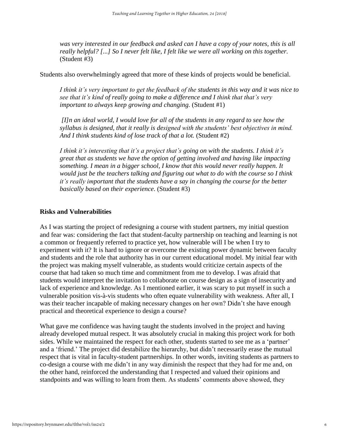was very interested in our feedback and asked can I have a copy of your notes, this is all *really helpful? [...] So I never felt like, I felt like we were all working on this together.*  (Student #3)

Students also overwhelmingly agreed that more of these kinds of projects would be beneficial.

*I think it's very important to get the feedback of the students in this way and it was nice to see that it's kind of really going to make a difference and I think that that's very important to always keep growing and changing.* (Student #1)

*[I]n an ideal world, I would love for all of the students in any regard to see how the syllabus is designed, that it really is designed with the students' best objectives in mind. And I think students kind of lose track of that a lot.* (Student #2)

*I think it's interesting that it's a project that's going on with the students. I think it's great that as students we have the option of getting involved and having like impacting something. I mean in a bigger school, I know that this would never really happen. It would just be the teachers talking and figuring out what to do with the course so I think it's really important that the students have a say in changing the course for the better basically based on their experience*. (Student #3)

#### **Risks and Vulnerabilities**

As I was starting the project of redesigning a course with student partners, my initial question and fear was: considering the fact that student-faculty partnership on teaching and learning is not a common or frequently referred to practice yet, how vulnerable will I be when I try to experiment with it? It is hard to ignore or overcome the existing power dynamic between faculty and students and the role that authority has in our current educational model. My initial fear with the project was making myself vulnerable, as students would criticize certain aspects of the course that had taken so much time and commitment from me to develop. I was afraid that students would interpret the invitation to collaborate on course design as a sign of insecurity and lack of experience and knowledge. As I mentioned earlier, it was scary to put myself in such a vulnerable position vis-à-vis students who often equate vulnerability with weakness. After all, I was their teacher incapable of making necessary changes on her own? Didn't she have enough practical and theoretical experience to design a course?

What gave me confidence was having taught the students involved in the project and having already developed mutual respect. It was absolutely crucial in making this project work for both sides. While we maintained the respect for each other, students started to see me as a 'partner' and a 'friend.' The project did destabilize the hierarchy, but didn't necessarily erase the mutual respect that is vital in faculty-student partnerships. In other words, inviting students as partners to co-design a course with me didn't in any way diminish the respect that they had for me and, on the other hand, reinforced the understanding that I respected and valued their opinions and standpoints and was willing to learn from them. As students' comments above showed, they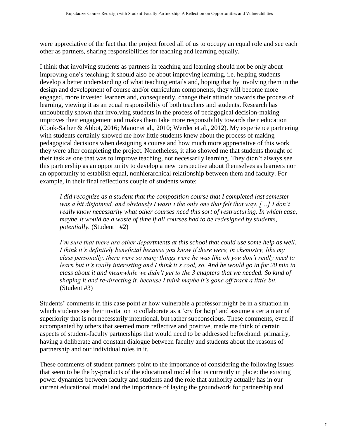were appreciative of the fact that the project forced all of us to occupy an equal role and see each other as partners, sharing responsibilities for teaching and learning equally.

I think that involving students as partners in teaching and learning should not be only about improving one's teaching; it should also be about improving learning, i.e. helping students develop a better understanding of what teaching entails and, hoping that by involving them in the design and development of course and/or curriculum components, they will become more engaged, more invested learners and, consequently, change their attitude towards the process of learning, viewing it as an equal responsibility of both teachers and students. Research has undoubtedly shown that involving students in the process of pedagogical decision-making improves their engagement and makes them take more responsibility towards their education (Cook-Sather & Abbot, 2016; Manor et al., 2010; Werder et al., 2012). My experience partnering with students certainly showed me how little students knew about the process of making pedagogical decisions when designing a course and how much more appreciative of this work they were after completing the project. Nonetheless, it also showed me that students thought of their task as one that was to improve teaching, not necessarily learning. They didn't always see this partnership as an opportunity to develop a new perspective about themselves as learners nor an opportunity to establish equal, nonhierarchical relationship between them and faculty. For example, in their final reflections couple of students wrote:

*I did recognize as a student that the composition course that I completed last semester was a bit disjointed, and obviously I wasn't the only one that felt that way. […] I don't really know necessarily what other courses need this sort of restructuring. In which case, maybe it would be a waste of time if all courses had to be redesigned by students, potentially.* (Student #2)

*I'm sure that there are other departments at this school that could use some help as well. I think it's definitely beneficial because you know if there were, in chemistry, like my class personally, there were so many things were he was like oh you don't really need to learn but it's really interesting and I think it's cool, so. And he would go in for 20 min in class about it and meanwhile we didn't get to the 3 chapters that we needed. So kind of shaping it and re-directing it, because I think maybe it's gone off track a little bit.* (Student #3)

Students' comments in this case point at how vulnerable a professor might be in a situation in which students see their invitation to collaborate as a 'cry for help' and assume a certain air of superiority that is not necessarily intentional, but rather subconscious. These comments, even if accompanied by others that seemed more reflective and positive, made me think of certain aspects of student-faculty partnerships that would need to be addressed beforehand: primarily, having a deliberate and constant dialogue between faculty and students about the reasons of partnership and our individual roles in it.

These comments of student partners point to the importance of considering the following issues that seem to be the by-products of the educational model that is currently in place: the existing power dynamics between faculty and students and the role that authority actually has in our current educational model and the importance of laying the groundwork for partnership and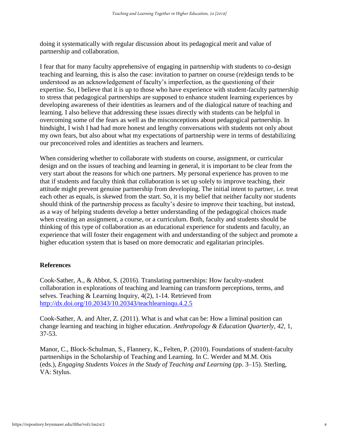doing it systematically with regular discussion about its pedagogical merit and value of partnership and collaboration.

I fear that for many faculty apprehensive of engaging in partnership with students to co-design teaching and learning, this is also the case: invitation to partner on course (re)design tends to be understood as an acknowledgement of faculty's imperfection, as the questioning of their expertise. So, I believe that it is up to those who have experience with student-faculty partnership to stress that pedagogical partnerships are supposed to enhance student learning experiences by developing awareness of their identities as learners and of the dialogical nature of teaching and learning. I also believe that addressing these issues directly with students can be helpful in overcoming some of the fears as well as the misconceptions about pedagogical partnership. In hindsight, I wish I had had more honest and lengthy conversations with students not only about my own fears, but also about what my expectations of partnership were in terms of destabilizing our preconceived roles and identities as teachers and learners.

When considering whether to collaborate with students on course, assignment, or curricular design and on the issues of teaching and learning in general, it is important to be clear from the very start about the reasons for which one partners. My personal experience has proven to me that if students and faculty think that collaboration is set up solely to improve teaching, their attitude might prevent genuine partnership from developing. The initial intent to partner, i.e. treat each other as equals, is skewed from the start. So, it is my belief that neither faculty nor students should think of the partnership process as faculty's desire to improve their teaching, but instead, as a way of helping students develop a better understanding of the pedagogical choices made when creating an assignment, a course, or a curriculum. Both, faculty and students should be thinking of this type of collaboration as an educational experience for students and faculty, an experience that will foster their engagement with and understanding of the subject and promote a higher education system that is based on more democratic and egalitarian principles.

#### **References**

Cook-Sather, A., & Abbot, S. (2016). Translating partnerships: How faculty-student collaboration in explorations of teaching and learning can transform perceptions, terms, and selves. Teaching & Learning Inquiry, 4(2), 1-14. Retrieved from <http://dx.doi.org/10.20343/10.20343/teachlearninqu.4.2.5>

Cook-Sather, A. and Alter, Z. (2011). What is and what can be: How a liminal position can change learning and teaching in higher education. *Anthropology & Education Quarterly*, *42,* 1, 37-53.

Manor, C., Block-Schulman, S., Flannery, K., Felten, P. (2010). Foundations of student-faculty partnerships in the Scholarship of Teaching and Learning. In C. Werder and M.M. Otis (eds.), *Engaging Students Voices in the Study of Teaching and Learning* (pp. 3–15). Sterling, VA: Stylus.